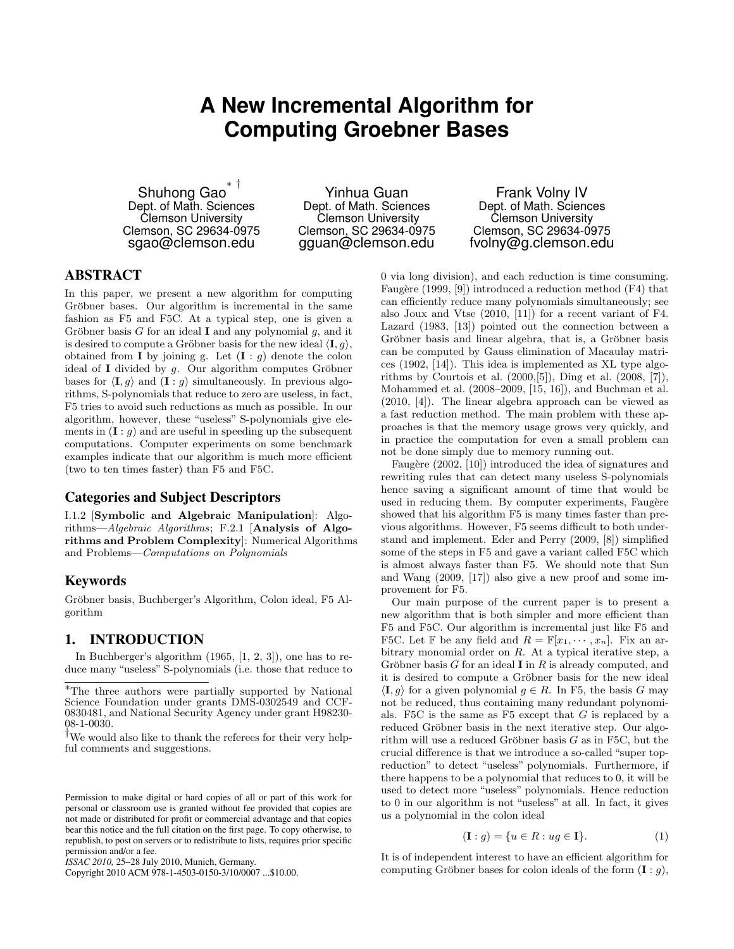# **A New Incremental Algorithm for Computing Groebner Bases**

Shuhong Gao ∗ † Dept. of Math. Sciences Clemson University Clemson, SC 29634-0975 sgao@clemson.edu

Yinhua Guan Dept. of Math. Sciences Clemson University Clemson, SC 29634-0975 gguan@clemson.edu

Frank Volny IV Dept. of Math. Sciences Clemson University Clemson, SC 29634-0975 fvolny@g.clemson.edu

## ABSTRACT

In this paper, we present a new algorithm for computing Gröbner bases. Our algorithm is incremental in the same fashion as F5 and F5C. At a typical step, one is given a Gröbner basis G for an ideal I and any polynomial  $g$ , and it is desired to compute a Gröbner basis for the new ideal  $\langle \mathbf{I}, g \rangle$ , obtained from **I** by joining g. Let  $(I : g)$  denote the colon ideal of I divided by  $g$ . Our algorithm computes Gröbner bases for  $\langle \mathbf{I}, g \rangle$  and  $(\mathbf{I} : g)$  simultaneously. In previous algorithms, S-polynomials that reduce to zero are useless, in fact, F5 tries to avoid such reductions as much as possible. In our algorithm, however, these "useless" S-polynomials give elements in  $(I : g)$  and are useful in speeding up the subsequent computations. Computer experiments on some benchmark examples indicate that our algorithm is much more efficient (two to ten times faster) than F5 and F5C.

#### Categories and Subject Descriptors

I.1.2 [Symbolic and Algebraic Manipulation]: Algorithms—Algebraic Algorithms; F.2.1 [Analysis of Algorithms and Problem Complexity]: Numerical Algorithms and Problems—Computations on Polynomials

### Keywords

Gröbner basis, Buchberger's Algorithm, Colon ideal, F5 Algorithm

#### 1. INTRODUCTION

In Buchberger's algorithm (1965, [1, 2, 3]), one has to reduce many "useless" S-polynomials (i.e. those that reduce to

<sup>†</sup>We would also like to thank the referees for their very helpful comments and suggestions.

Permission to make digital or hard copies of all or part of this work for personal or classroom use is granted without fee provided that copies are not made or distributed for profit or commercial advantage and that copies bear this notice and the full citation on the first page. To copy otherwise, to republish, to post on servers or to redistribute to lists, requires prior specific permission and/or a fee.

*ISSAC 2010,* 25–28 July 2010, Munich, Germany.

Copyright 2010 ACM 978-1-4503-0150-3/10/0007 ...\$10.00.

0 via long division), and each reduction is time consuming. Faugère (1999,  $[9]$ ) introduced a reduction method (F4) that can efficiently reduce many polynomials simultaneously; see also Joux and Vtse (2010, [11]) for a recent variant of F4. Lazard (1983, [13]) pointed out the connection between a Gröbner basis and linear algebra, that is, a Gröbner basis can be computed by Gauss elimination of Macaulay matrices (1902, [14]). This idea is implemented as XL type algorithms by Courtois et al. (2000,[5]), Ding et al. (2008, [7]), Mohammed et al. (2008–2009, [15, 16]), and Buchman et al. (2010, [4]). The linear algebra approach can be viewed as a fast reduction method. The main problem with these approaches is that the memory usage grows very quickly, and in practice the computation for even a small problem can not be done simply due to memory running out.

Faugère (2002, [10]) introduced the idea of signatures and rewriting rules that can detect many useless S-polynomials hence saving a significant amount of time that would be used in reducing them. By computer experiments, Faugère showed that his algorithm F5 is many times faster than previous algorithms. However, F5 seems difficult to both understand and implement. Eder and Perry (2009, [8]) simplified some of the steps in F5 and gave a variant called F5C which is almost always faster than F5. We should note that Sun and Wang (2009, [17]) also give a new proof and some improvement for F5.

Our main purpose of the current paper is to present a new algorithm that is both simpler and more efficient than F5 and F5C. Our algorithm is incremental just like F5 and F5C. Let F be any field and  $R = \mathbb{F}[x_1, \dots, x_n]$ . Fix an arbitrary monomial order on R. At a typical iterative step, a Gröbner basis  $G$  for an ideal **I** in  $R$  is already computed, and it is desired to compute a Gröbner basis for the new ideal  $\langle I, q \rangle$  for a given polynomial  $q \in R$ . In F5, the basis G may not be reduced, thus containing many redundant polynomials. F5C is the same as F5 except that  $G$  is replaced by a reduced Gröbner basis in the next iterative step. Our algorithm will use a reduced Gröbner basis  $G$  as in F5C, but the crucial difference is that we introduce a so-called "super topreduction" to detect "useless" polynomials. Furthermore, if there happens to be a polynomial that reduces to 0, it will be used to detect more "useless" polynomials. Hence reduction to 0 in our algorithm is not "useless" at all. In fact, it gives us a polynomial in the colon ideal

$$
(\mathbf{I}:g) = \{ u \in R : ug \in \mathbf{I} \}.
$$
 (1)

It is of independent interest to have an efficient algorithm for computing Gröbner bases for colon ideals of the form  $(I : q)$ ,

<sup>∗</sup>The three authors were partially supported by National Science Foundation under grants DMS-0302549 and CCF-0830481, and National Security Agency under grant H98230- 08-1-0030.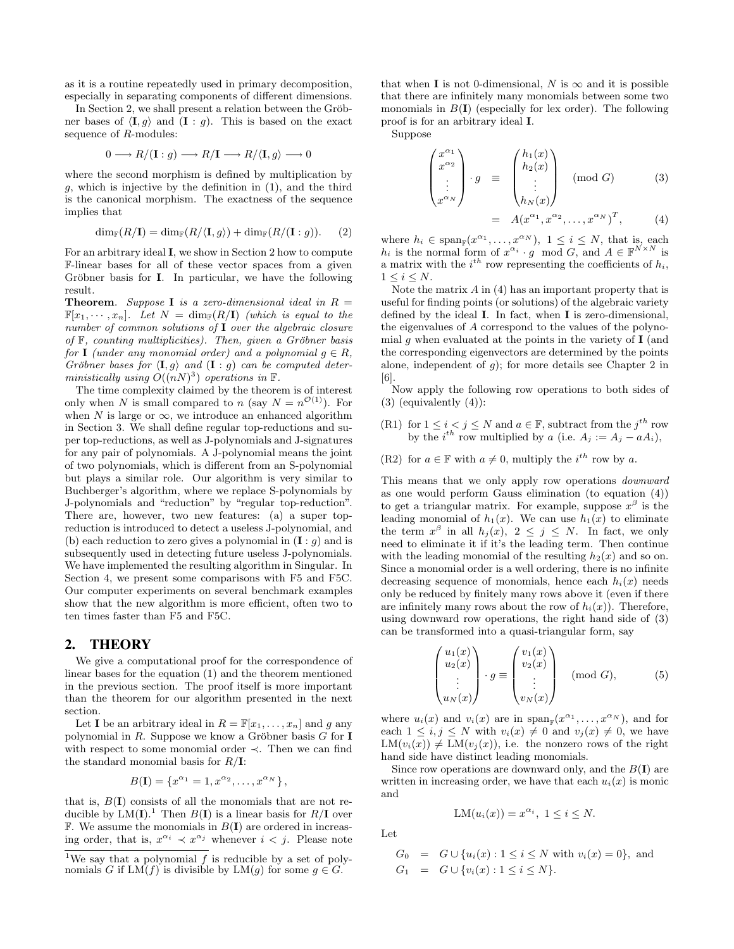as it is a routine repeatedly used in primary decomposition, especially in separating components of different dimensions.

In Section 2, we shall present a relation between the Gröbner bases of  $\langle I, g \rangle$  and  $(I : g)$ . This is based on the exact sequence of R-modules:

$$
0 \longrightarrow R/(\mathbf{I}:g) \longrightarrow R/\mathbf{I} \longrightarrow R/\langle \mathbf{I}, g \rangle \longrightarrow 0
$$

where the second morphism is defined by multiplication by  $q$ , which is injective by the definition in  $(1)$ , and the third is the canonical morphism. The exactness of the sequence implies that

$$
\dim_{\mathbb{F}}(R/\mathbf{I}) = \dim_{\mathbb{F}}(R/\langle \mathbf{I}, g \rangle) + \dim_{\mathbb{F}}(R/(\mathbf{I}:g)). \tag{2}
$$

For an arbitrary ideal I, we show in Section 2 how to compute F-linear bases for all of these vector spaces from a given Gröbner basis for **I**. In particular, we have the following result.

**Theorem.** Suppose **I** is a zero-dimensional ideal in  $R =$  $\mathbb{F}[x_1, \dots, x_n]$ . Let  $N = \dim_{\mathbb{F}}(R/\mathbf{I})$  (which is equal to the number of common solutions of I over the algebraic closure of  $\mathbb{F}$ , counting multiplicities). Then, given a Gröbner basis for I (under any monomial order) and a polynomial  $q \in R$ , Gröbner bases for  $\langle \mathbf{I}, g \rangle$  and  $(\mathbf{I} : g)$  can be computed deterministically using  $O((nN)^3)$  operations in F.

The time complexity claimed by the theorem is of interest only when N is small compared to n (say  $N = n^{\mathcal{O}(1)}$ ). For when N is large or  $\infty$ , we introduce an enhanced algorithm in Section 3. We shall define regular top-reductions and super top-reductions, as well as J-polynomials and J-signatures for any pair of polynomials. A J-polynomial means the joint of two polynomials, which is different from an S-polynomial but plays a similar role. Our algorithm is very similar to Buchberger's algorithm, where we replace S-polynomials by J-polynomials and "reduction" by "regular top-reduction". There are, however, two new features: (a) a super topreduction is introduced to detect a useless J-polynomial, and (b) each reduction to zero gives a polynomial in  $(I : g)$  and is subsequently used in detecting future useless J-polynomials. We have implemented the resulting algorithm in Singular. In Section 4, we present some comparisons with F5 and F5C. Our computer experiments on several benchmark examples show that the new algorithm is more efficient, often two to ten times faster than F5 and F5C.

#### 2. THEORY

We give a computational proof for the correspondence of linear bases for the equation (1) and the theorem mentioned in the previous section. The proof itself is more important than the theorem for our algorithm presented in the next section.

Let **I** be an arbitrary ideal in  $R = \mathbb{F}[x_1, \ldots, x_n]$  and g any polynomial in  $R$ . Suppose we know a Gröbner basis  $G$  for **I** with respect to some monomial order ≺. Then we can find the standard monomial basis for  $R/I$ :

$$
B(\mathbf{I}) = \{x^{\alpha_1} = 1, x^{\alpha_2}, \dots, x^{\alpha_N}\},
$$

that is,  $B(I)$  consists of all the monomials that are not reducible by  $LM(I)^{1}$  Then  $B(I)$  is a linear basis for  $R/I$  over  $\mathbb F$ . We assume the monomials in  $B(I)$  are ordered in increasing order, that is,  $x^{\alpha_i} \prec x^{\alpha_j}$  whenever  $i < j$ . Please note that when **I** is not 0-dimensional, N is  $\infty$  and it is possible that there are infinitely many monomials between some two monomials in  $B(I)$  (especially for lex order). The following proof is for an arbitrary ideal I.

Suppose

$$
\begin{pmatrix} x^{\alpha_1} \\ x^{\alpha_2} \\ \vdots \\ x^{\alpha_N} \end{pmatrix} \cdot g \equiv \begin{pmatrix} h_1(x) \\ h_2(x) \\ \vdots \\ h_N(x) \end{pmatrix} \pmod{G} \qquad (3)
$$

$$
= A(x^{\alpha_1}, x^{\alpha_2}, \dots, x^{\alpha_N})^T, \qquad (4)
$$

where  $h_i \in \text{span}_{\mathbb{F}}(x^{\alpha_1}, \dots, x^{\alpha_N}), 1 \le i \le N$ , that is, each  $h_i$  is the normal form of  $x^{\alpha_i} \cdot g \mod G$ , and  $A \in \mathbb{F}^{N \times N}$  is a matrix with the  $i^{th}$  row representing the coefficients of  $h_i$ ,  $1 \leq i \leq N$ .

Note the matrix  $A$  in  $(4)$  has an important property that is useful for finding points (or solutions) of the algebraic variety defined by the ideal I. In fact, when I is zero-dimensional, the eigenvalues of A correspond to the values of the polynomial g when evaluated at the points in the variety of  $I$  (and the corresponding eigenvectors are determined by the points alone, independent of  $q$ ); for more details see Chapter 2 in [6].

Now apply the following row operations to both sides of (3) (equivalently (4)):

- (R1) for  $1 \leq i < j \leq N$  and  $a \in \mathbb{F}$ , subtract from the  $j^{th}$  row by the  $i^{th}$  row multiplied by a (i.e.  $A_j := A_j - a A_i$ ),
- (R2) for  $a \in \mathbb{F}$  with  $a \neq 0$ , multiply the  $i^{th}$  row by a.

This means that we only apply row operations *downward* as one would perform Gauss elimination (to equation (4)) to get a triangular matrix. For example, suppose  $x^{\beta}$  is the leading monomial of  $h_1(x)$ . We can use  $h_1(x)$  to eliminate the term  $x^{\beta}$  in all  $h_j(x)$ ,  $2 \leq j \leq N$ . In fact, we only need to eliminate it if it's the leading term. Then continue with the leading monomial of the resulting  $h_2(x)$  and so on. Since a monomial order is a well ordering, there is no infinite decreasing sequence of monomials, hence each  $h_i(x)$  needs only be reduced by finitely many rows above it (even if there are infinitely many rows about the row of  $h_i(x)$ ). Therefore, using downward row operations, the right hand side of (3) can be transformed into a quasi-triangular form, say

$$
\begin{pmatrix} u_1(x) \\ u_2(x) \\ \vdots \\ u_N(x) \end{pmatrix} \cdot g \equiv \begin{pmatrix} v_1(x) \\ v_2(x) \\ \vdots \\ v_N(x) \end{pmatrix} \pmod{G}, \qquad (5)
$$

where  $u_i(x)$  and  $v_i(x)$  are in  $\text{span}_{\mathbb{F}}(x^{\alpha_1}, \ldots, x^{\alpha_N})$ , and for each  $1 \leq i, j \leq N$  with  $v_i(x) \neq 0$  and  $v_j(x) \neq 0$ , we have  $LM(v_i(x)) \neq LM(v_i(x))$ , i.e. the nonzero rows of the right hand side have distinct leading monomials.

Since row operations are downward only, and the  $B(I)$  are written in increasing order, we have that each  $u_i(x)$  is monic and

$$
LM(u_i(x)) = x^{\alpha_i}, \ 1 \le i \le N.
$$

Let

$$
G_0 = G \cup \{u_i(x) : 1 \le i \le N \text{ with } v_i(x) = 0\}, \text{ and}
$$
  
\n
$$
G_1 = G \cup \{v_i(x) : 1 \le i \le N\}.
$$

<sup>&</sup>lt;sup>1</sup>We say that a polynomial  $f$  is reducible by a set of polynomials G if  $LM(f)$  is divisible by  $LM(g)$  for some  $g \in G$ .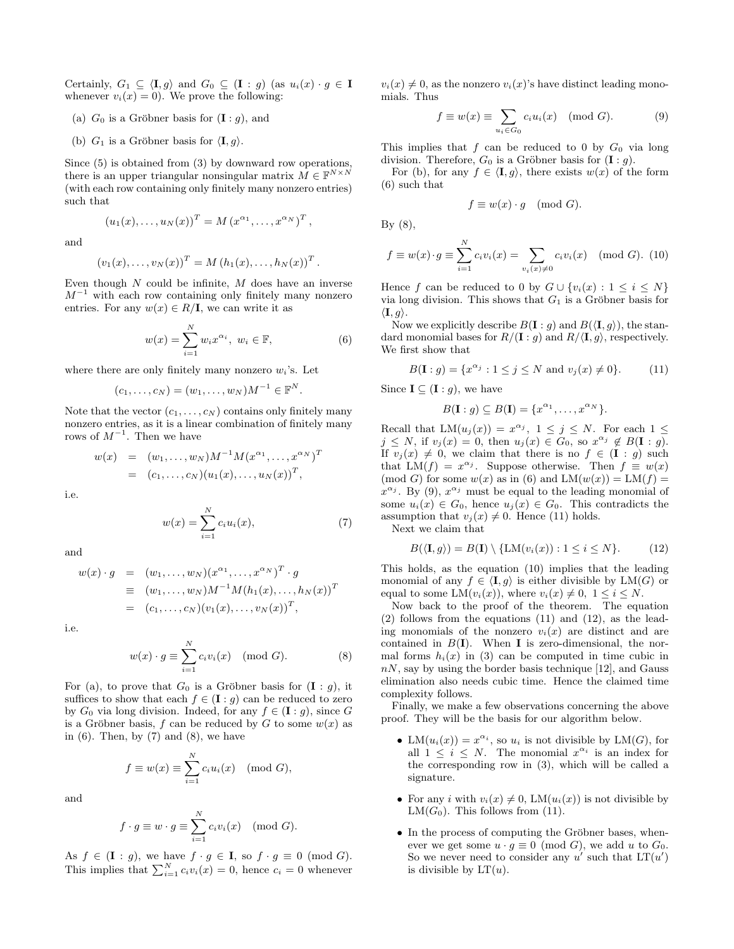Certainly,  $G_1 \subseteq \langle \mathbf{I}, g \rangle$  and  $G_0 \subseteq (\mathbf{I} : g)$  (as  $u_i(x) \cdot g \in \mathbf{I}$ whenever  $v_i(x) = 0$ . We prove the following:

- (a)  $G_0$  is a Gröbner basis for  $(\mathbf{I}: g)$ , and
- (b)  $G_1$  is a Gröbner basis for  $\langle \mathbf{I}, g \rangle$ .

Since (5) is obtained from (3) by downward row operations, there is an upper triangular nonsingular matrix  $\tilde{M} \in \mathbb{F}^{N \times N}$ (with each row containing only finitely many nonzero entries) such that

$$
(u_1(x),\ldots,u_N(x))^T = M (x^{\alpha_1},\ldots,x^{\alpha_N})^T,
$$

and

$$
(v_1(x),...,v_N(x))^T = M (h_1(x),...,h_N(x))^T.
$$

Even though  $N$  could be infinite,  $M$  does have an inverse  $M^{-1}$  with each row containing only finitely many nonzero entries. For any  $w(x) \in R/\mathbf{I}$ , we can write it as

$$
w(x) = \sum_{i=1}^{N} w_i x^{\alpha_i}, \ w_i \in \mathbb{F},
$$
\n(6)

where there are only finitely many nonzero  $w_i$ 's. Let

$$
(c_1,...,c_N) = (w_1,...,w_N)M^{-1} \in \mathbb{F}^N.
$$

Note that the vector  $(c_1, \ldots, c_N)$  contains only finitely many nonzero entries, as it is a linear combination of finitely many rows of  $M^{-1}$ . Then we have

$$
w(x) = (w_1, ..., w_N)M^{-1}M(x^{\alpha_1}, ..., x^{\alpha_N})^T
$$
  
=  $(c_1, ..., c_N)(u_1(x), ..., u_N(x))^T$ ,

i.e.

$$
w(x) = \sum_{i=1}^{N} c_i u_i(x),
$$
 (7)

and

$$
w(x) \cdot g = (w_1, ..., w_N)(x^{\alpha_1}, ..., x^{\alpha_N})^T \cdot g
$$
  
\n
$$
\equiv (w_1, ..., w_N)M^{-1}M(h_1(x), ..., h_N(x))^T
$$
  
\n
$$
= (c_1, ..., c_N)(v_1(x), ..., v_N(x))^T,
$$

i.e.

$$
w(x) \cdot g \equiv \sum_{i=1}^{N} c_i v_i(x) \pmod{G}.
$$
 (8)

For (a), to prove that  $G_0$  is a Gröbner basis for  $(\mathbf{I}: g)$ , it suffices to show that each  $f \in (\mathbf{I} : g)$  can be reduced to zero by  $G_0$  via long division. Indeed, for any  $f \in (\mathbf{I} : g)$ , since G is a Gröbner basis, f can be reduced by G to some  $w(x)$  as in  $(6)$ . Then, by  $(7)$  and  $(8)$ , we have

$$
f \equiv w(x) \equiv \sum_{i=1}^{N} c_i u_i(x) \pmod{G},
$$

and

$$
f \cdot g \equiv w \cdot g \equiv \sum_{i=1}^{N} c_i v_i(x) \pmod{G}.
$$

As  $f \in (\mathbf{I} : g)$ , we have  $f \cdot g \in \mathbf{I}$ , so  $f \cdot g \equiv 0 \pmod{G}$ . This implies that  $\sum_{i=1}^{N} c_i v_i(x) = 0$ , hence  $c_i = 0$  whenever  $v_i(x) \neq 0$ , as the nonzero  $v_i(x)$ 's have distinct leading monomials. Thus

$$
f \equiv w(x) \equiv \sum_{u_i \in G_0} c_i u_i(x) \pmod{G}.
$$
 (9)

This implies that  $f$  can be reduced to 0 by  $G_0$  via long division. Therefore,  $G_0$  is a Gröbner basis for  $(\mathbf{I} : g)$ .

For (b), for any  $f \in \langle I, g \rangle$ , there exists  $w(x)$  of the form (6) such that

$$
f \equiv w(x) \cdot g \pmod{G}.
$$

By (8),

$$
f \equiv w(x) \cdot g \equiv \sum_{i=1}^{N} c_i v_i(x) = \sum_{v_i(x) \neq 0} c_i v_i(x) \pmod{G}.
$$
 (10)

Hence f can be reduced to 0 by  $G \cup \{v_i(x): 1 \leq i \leq N\}$ via long division. This shows that  $G_1$  is a Gröbner basis for  $\langle \mathbf{I}, g \rangle$ .

Now we explicitly describe  $B(I: q)$  and  $B(\langle I, q \rangle)$ , the standard monomial bases for  $R/(\mathbf{I}: g)$  and  $R/\langle \mathbf{I}, g \rangle$ , respectively. We first show that

$$
B(\mathbf{I}:g) = \{x^{\alpha_j} : 1 \le j \le N \text{ and } v_j(x) \ne 0\}.
$$
 (11)

Since  $\mathbf{I} \subseteq (\mathbf{I}:g)$ , we have

$$
B(\mathbf{I}:g) \subseteq B(\mathbf{I}) = \{x^{\alpha_1}, \dots, x^{\alpha_N}\}.
$$

Recall that  $LM(u_j(x)) = x^{\alpha_j}$ ,  $1 \leq j \leq N$ . For each  $1 \leq$  $j \leq N$ , if  $v_j(x) = 0$ , then  $u_j(x) \in G_0$ , so  $x^{\alpha_j} \notin B(\mathbf{I}: g)$ . If  $v_j(x) \neq 0$ , we claim that there is no  $f \in (I : g)$  such that  $LM(f) = x^{\alpha_j}$ . Suppose otherwise. Then  $f \equiv w(x)$ (mod G) for some  $w(x)$  as in (6) and  $LM(w(x)) = LM(f)$  =  $x^{\alpha_j}$ . By (9),  $x^{\alpha_j}$  must be equal to the leading monomial of some  $u_i(x) \in G_0$ , hence  $u_j(x) \in G_0$ . This contradicts the assumption that  $v_j(x) \neq 0$ . Hence (11) holds.

Next we claim that

$$
B(\langle \mathbf{I}, g \rangle) = B(\mathbf{I}) \setminus \{LM(v_i(x)) : 1 \le i \le N\}.
$$
 (12)

This holds, as the equation (10) implies that the leading monomial of any  $f \in \langle I, g \rangle$  is either divisible by LM(G) or equal to some  $LM(v_i(x))$ , where  $v_i(x) \neq 0, 1 \leq i \leq N$ .

Now back to the proof of the theorem. The equation (2) follows from the equations (11) and (12), as the leading monomials of the nonzero  $v_i(x)$  are distinct and are contained in  $B(I)$ . When **I** is zero-dimensional, the normal forms  $h_i(x)$  in (3) can be computed in time cubic in  $nN$ , say by using the border basis technique [12], and Gauss elimination also needs cubic time. Hence the claimed time complexity follows.

Finally, we make a few observations concerning the above proof. They will be the basis for our algorithm below.

- LM $(u_i(x)) = x^{\alpha_i}$ , so  $u_i$  is not divisible by LM $(G)$ , for all  $1 \leq i \leq N$ . The monomial  $x^{\alpha_i}$  is an index for the corresponding row in (3), which will be called a signature.
- For any i with  $v_i(x) \neq 0$ , LM $(u_i(x))$  is not divisible by  $LM(G_0)$ . This follows from (11).
- $\bullet$  In the process of computing the Gröbner bases, whenever we get some  $u \cdot q \equiv 0 \pmod{G}$ , we add u to  $G_0$ . So we never need to consider any u' such that  $LT(u')$ is divisible by  $LT(u)$ .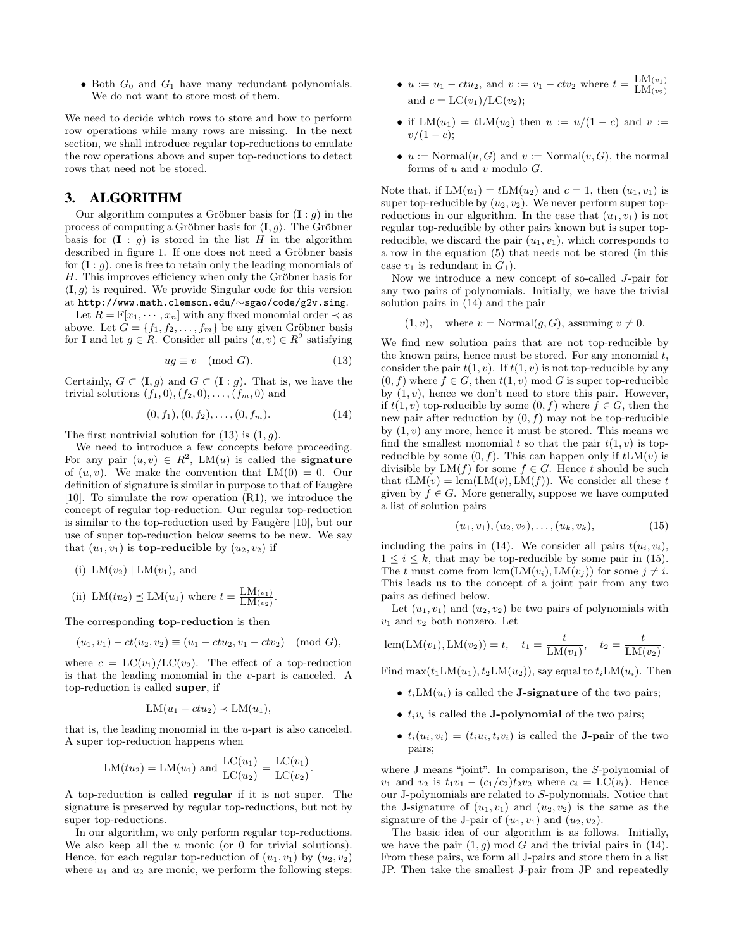$\bullet$  Both  $G_0$  and  $G_1$  have many redundant polynomials. We do not want to store most of them.

We need to decide which rows to store and how to perform row operations while many rows are missing. In the next section, we shall introduce regular top-reductions to emulate the row operations above and super top-reductions to detect rows that need not be stored.

## 3. ALGORITHM

Our algorithm computes a Gröbner basis for  $(I : q)$  in the process of computing a Gröbner basis for  $\langle I, g \rangle$ . The Gröbner basis for  $(I : g)$  is stored in the list H in the algorithm described in figure 1. If one does not need a Gröbner basis for  $(I : g)$ , one is free to retain only the leading monomials of  $H$ . This improves efficiency when only the Gröbner basis for  $\langle I, g \rangle$  is required. We provide Singular code for this version at http://www.math.clemson.edu/∼sgao/code/g2v.sing.

Let  $R = \mathbb{F}[x_1, \dots, x_n]$  with any fixed monomial order  $\prec$  as above. Let  $G = \{f_1, f_2, \ldots, f_m\}$  be any given Gröbner basis for **I** and let  $g \in R$ . Consider all pairs  $(u, v) \in R^2$  satisfying

$$
ug \equiv v \pmod{G}.
$$
 (13)

Certainly,  $G \subset \langle I, g \rangle$  and  $G \subset (I : g)$ . That is, we have the trivial solutions  $(f_1, 0), (f_2, 0), \ldots, (f_m, 0)$  and

$$
(0, f_1), (0, f_2), \dots, (0, f_m). \tag{14}
$$

The first nontrivial solution for  $(13)$  is  $(1, g)$ .

We need to introduce a few concepts before proceeding. For any pair  $(u, v) \in R^2$ , LM $(u)$  is called the **signature** of  $(u, v)$ . We make the convention that  $LM(0) = 0$ . Our definition of signature is similar in purpose to that of Faugère [10]. To simulate the row operation (R1), we introduce the concept of regular top-reduction. Our regular top-reduction is similar to the top-reduction used by Faugère  $[10]$ , but our use of super top-reduction below seems to be new. We say that  $(u_1, v_1)$  is **top-reducible** by  $(u_2, v_2)$  if

(ii) LM(tu<sub>2</sub>) 
$$
\preceq
$$
 LM(u<sub>1</sub>) where  $t = \frac{\text{LM}(v_1)}{\text{LM}(v_2)}$ .

The corresponding top-reduction is then

(i)  $LM(v_2) | LM(v_1)$ , and

$$
(u_1, v_1) - ct(u_2, v_2) \equiv (u_1 - ctu_2, v_1 - ctv_2) \pmod{G},
$$

where  $c = LC(v_1)/LC(v_2)$ . The effect of a top-reduction is that the leading monomial in the v-part is canceled. A top-reduction is called super, if

$$
LM(u_1 - ctu_2) \prec LM(u_1),
$$

that is, the leading monomial in the u-part is also canceled. A super top-reduction happens when

$$
LM(tu_2) = LM(u_1)
$$
 and  $\frac{LC(u_1)}{LC(u_2)} = \frac{LC(v_1)}{LC(v_2)}$ .

A top-reduction is called regular if it is not super. The signature is preserved by regular top-reductions, but not by super top-reductions.

In our algorithm, we only perform regular top-reductions. We also keep all the  $u$  monic (or 0 for trivial solutions). Hence, for each regular top-reduction of  $(u_1, v_1)$  by  $(u_2, v_2)$ where  $u_1$  and  $u_2$  are monic, we perform the following steps:

- $u := u_1 ctu_2$ , and  $v := v_1 ctv_2$  where  $t = \frac{LM(v_1)}{LM(v_2)}$  $\mathrm{LM}_{(v_2)}$ and  $c = LC(v_1)/LC(v_2);$
- if  $LM(u_1) = tLM(u_2)$  then  $u := u/(1-c)$  and  $v :=$  $v/(1-c);$
- $u := \text{Normal}(u, G)$  and  $v := \text{Normal}(v, G)$ , the normal forms of  $u$  and  $v$  modulo  $G$ .

Note that, if  $LM(u_1) = tLM(u_2)$  and  $c = 1$ , then  $(u_1, v_1)$  is super top-reducible by  $(u_2, v_2)$ . We never perform super topreductions in our algorithm. In the case that  $(u_1, v_1)$  is not regular top-reducible by other pairs known but is super topreducible, we discard the pair  $(u_1, v_1)$ , which corresponds to a row in the equation (5) that needs not be stored (in this case  $v_1$  is redundant in  $G_1$ ).

Now we introduce a new concept of so-called J-pair for any two pairs of polynomials. Initially, we have the trivial solution pairs in (14) and the pair

$$
(1, v)
$$
, where  $v = \text{Normal}(g, G)$ , assuming  $v \neq 0$ .

We find new solution pairs that are not top-reducible by the known pairs, hence must be stored. For any monomial  $t$ , consider the pair  $t(1, v)$ . If  $t(1, v)$  is not top-reducible by any  $(0, f)$  where  $f \in G$ , then  $t(1, v)$  mod G is super top-reducible by  $(1, v)$ , hence we don't need to store this pair. However, if  $t(1, v)$  top-reducible by some  $(0, f)$  where  $f \in G$ , then the new pair after reduction by  $(0, f)$  may not be top-reducible by  $(1, v)$  any more, hence it must be stored. This means we find the smallest monomial t so that the pair  $t(1, v)$  is topreducible by some  $(0, f)$ . This can happen only if  $tLM(v)$  is divisible by  $LM(f)$  for some  $f \in G$ . Hence t should be such that  $tLM(v) = lcm(LM(v), LM(f))$ . We consider all these t given by  $f \in G$ . More generally, suppose we have computed a list of solution pairs

$$
(u_1, v_1), (u_2, v_2), \ldots, (u_k, v_k), \tag{15}
$$

including the pairs in (14). We consider all pairs  $t(u_i, v_i)$ ,  $1 \leq i \leq k$ , that may be top-reducible by some pair in (15). The t must come from  $lcm(LM(v_i), LM(v_j))$  for some  $j \neq i$ . This leads us to the concept of a joint pair from any two pairs as defined below.

Let  $(u_1, v_1)$  and  $(u_2, v_2)$  be two pairs of polynomials with  $v_1$  and  $v_2$  both nonzero. Let

lcm(LM(v<sub>1</sub>), LM(v<sub>2</sub>)) = t, t<sub>1</sub> = 
$$
\frac{t}{LM(v_1)}
$$
, t<sub>2</sub> =  $\frac{t}{LM(v_2)}$ .

Find  $\max(t_1LM(u_1), t_2LM(u_2))$ , say equal to  $t_iLM(u_i)$ . Then

- $t_iLM(u_i)$  is called the **J-signature** of the two pairs;
- $t_i v_i$  is called the **J-polynomial** of the two pairs;
- $t_i(u_i, v_i) = (t_i u_i, t_i v_i)$  is called the **J-pair** of the two pairs;

where J means "joint". In comparison, the S-polynomial of  $v_1$  and  $v_2$  is  $t_1v_1 - (c_1/c_2)t_2v_2$  where  $c_i = LC(v_i)$ . Hence our J-polynomials are related to S-polynomials. Notice that the J-signature of  $(u_1, v_1)$  and  $(u_2, v_2)$  is the same as the signature of the J-pair of  $(u_1, v_1)$  and  $(u_2, v_2)$ .

The basic idea of our algorithm is as follows. Initially, we have the pair  $(1, g) \mod G$  and the trivial pairs in (14). From these pairs, we form all J-pairs and store them in a list JP. Then take the smallest J-pair from JP and repeatedly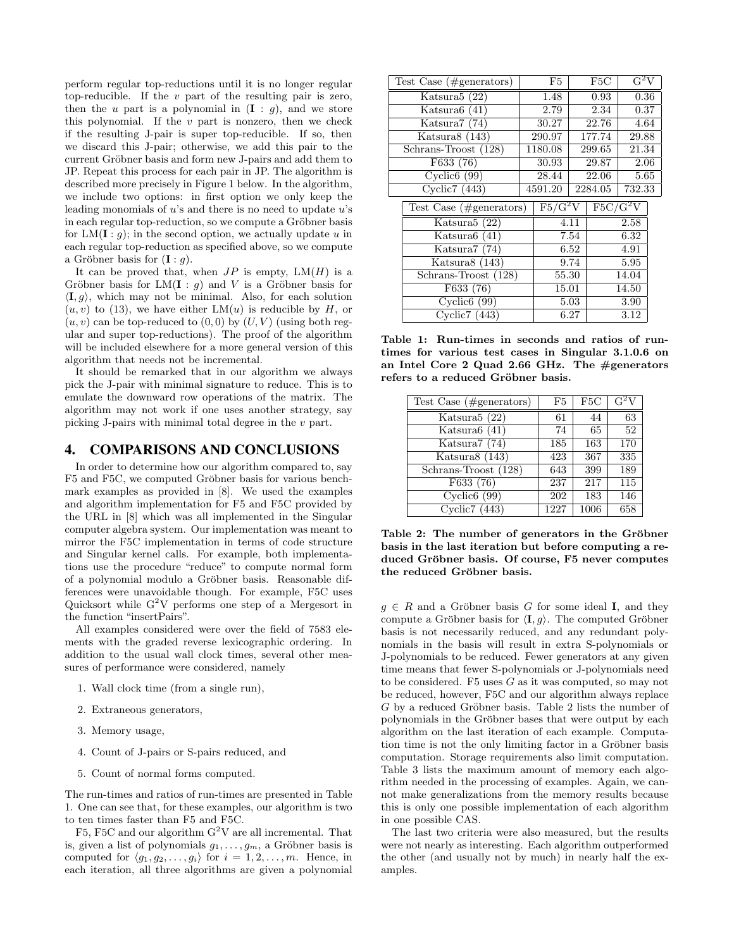perform regular top-reductions until it is no longer regular top-reducible. If the  $v$  part of the resulting pair is zero, then the u part is a polynomial in  $(I : g)$ , and we store this polynomial. If the  $v$  part is nonzero, then we check if the resulting J-pair is super top-reducible. If so, then we discard this J-pair; otherwise, we add this pair to the current Gröbner basis and form new J-pairs and add them to JP. Repeat this process for each pair in JP. The algorithm is described more precisely in Figure 1 below. In the algorithm, we include two options: in first option we only keep the leading monomials of  $u$ 's and there is no need to update  $u$ 's in each regular top-reduction, so we compute a Gröbner basis for  $LM(\mathbf{I}:q)$ ; in the second option, we actually update u in each regular top-reduction as specified above, so we compute a Gröbner basis for  $(I : g)$ .

It can be proved that, when  $JP$  is empty,  $LM(H)$  is a Gröbner basis for LM(I :  $q$ ) and V is a Gröbner basis for  $\langle I, g \rangle$ , which may not be minimal. Also, for each solution  $(u, v)$  to (13), we have either LM $(u)$  is reducible by H, or  $(u, v)$  can be top-reduced to  $(0, 0)$  by  $(U, V)$  (using both regular and super top-reductions). The proof of the algorithm will be included elsewhere for a more general version of this algorithm that needs not be incremental.

It should be remarked that in our algorithm we always pick the J-pair with minimal signature to reduce. This is to emulate the downward row operations of the matrix. The algorithm may not work if one uses another strategy, say picking J-pairs with minimal total degree in the v part.

#### 4. COMPARISONS AND CONCLUSIONS

In order to determine how our algorithm compared to, say F5 and F5C, we computed Gröbner basis for various benchmark examples as provided in [8]. We used the examples and algorithm implementation for F5 and F5C provided by the URL in [8] which was all implemented in the Singular computer algebra system. Our implementation was meant to mirror the F5C implementation in terms of code structure and Singular kernel calls. For example, both implementations use the procedure "reduce" to compute normal form of a polynomial modulo a Gröbner basis. Reasonable differences were unavoidable though. For example, F5C uses Quicksort while  $G^2V$  performs one step of a Mergesort in the function "insertPairs".

All examples considered were over the field of 7583 elements with the graded reverse lexicographic ordering. In addition to the usual wall clock times, several other measures of performance were considered, namely

- 1. Wall clock time (from a single run),
- 2. Extraneous generators,
- 3. Memory usage,
- 4. Count of J-pairs or S-pairs reduced, and
- 5. Count of normal forms computed.

The run-times and ratios of run-times are presented in Table 1. One can see that, for these examples, our algorithm is two to ten times faster than F5 and F5C.

F5, F5C and our algorithm  $G^2V$  are all incremental. That is, given a list of polynomials  $g_1, \ldots, g_m$ , a Gröbner basis is computed for  $\langle g_1, g_2, \ldots, g_i \rangle$  for  $i = 1, 2, \ldots, m$ . Hence, in each iteration, all three algorithms are given a polynomial

| Test Case $(\text{\#generators})$ | F5                                              | F5C     | $\overline{G^2V}$              |
|-----------------------------------|-------------------------------------------------|---------|--------------------------------|
| Katsura <sub>5</sub> (22)         | 1.48                                            | 0.93    | 0.36                           |
| Katsura $6(41)$                   | 2.79                                            | 2.34    | 0.37                           |
| Katsura7 (74)                     | 30.27                                           | 22.76   | 4.64                           |
| Katsura8 (143)                    | 290.97                                          | 177.74  | 29.88                          |
| Schrans-Troost (128)              | 1180.08                                         | 299.65  | 21.34                          |
| F633 (76)                         | 30.93                                           | 29.87   | 2.06                           |
| $Cyclic6$ (99)                    | 28.44                                           | 22.06   | 5.65                           |
| $\overline{\text{Cyclic7 (443)}}$ | 4591.20                                         | 2284.05 | 732.33                         |
| Test Case $(\text{\#generators})$ | $\overline{\mathrm{F5}/\mathrm{G}^2\mathrm{V}}$ |         | $\overline{\mathrm{F5C/G^2V}}$ |
| Katsura5 (22)                     |                                                 | 4.11    | 2.58                           |
| $T^{\prime}$ $\alpha$ $(11)$      |                                                 | $- - -$ | 0.00                           |

| Aatsurað (22)        | 4.11  | 2.98  |
|----------------------|-------|-------|
| Katsura $6(41)$      | 7.54  | 6.32  |
| Katsura $7(74)$      | 6.52  | 4.91  |
| Katsura $8(143)$     | 9.74  | 5.95  |
| Schrans-Troost (128) | 55.30 | 14.04 |
| F633 (76)            | 15.01 | 14.50 |
| $Cyclic6$ (99)       | 5.03  | 3.90  |
| Cyclic $7(443)$      | 6.27  | 3.12  |

Table 1: Run-times in seconds and ratios of runtimes for various test cases in Singular 3.1.0.6 on an Intel Core 2 Quad 2.66 GHz. The #generators refers to a reduced Gröbner basis.

| Test Case $(\#generators)$ | F5   | F <sub>5</sub> C | $\overline{G^2V}$ |
|----------------------------|------|------------------|-------------------|
| Katsura5 (22)              | 61   | 44               | 63                |
| Katsura $6(41)$            | 74   | 65               | 52                |
| Katsura7 (74)              | 185  | 163              | 170               |
| Katsura8 (143)             | 423  | 367              | 335               |
| Schrans-Troost (128)       | 643  | 399              | 189               |
| F633(76)                   | 237  | 217              | 115               |
| Cyclic6(99)                | 202  | 183              | 146               |
| Cyclic7 $(443)$            | 1227 | 1006             | 658               |

Table 2: The number of generators in the Gröbner basis in the last iteration but before computing a reduced Gröbner basis. Of course, F5 never computes the reduced Gröbner basis.

 $g \in R$  and a Gröbner basis G for some ideal I, and they compute a Gröbner basis for  $\langle I, g \rangle$ . The computed Gröbner basis is not necessarily reduced, and any redundant polynomials in the basis will result in extra S-polynomials or J-polynomials to be reduced. Fewer generators at any given time means that fewer S-polynomials or J-polynomials need to be considered. F5 uses G as it was computed, so may not be reduced, however, F5C and our algorithm always replace  $G$  by a reduced Gröbner basis. Table 2 lists the number of polynomials in the Gröbner bases that were output by each algorithm on the last iteration of each example. Computation time is not the only limiting factor in a Gröbner basis computation. Storage requirements also limit computation. Table 3 lists the maximum amount of memory each algorithm needed in the processing of examples. Again, we cannot make generalizations from the memory results because this is only one possible implementation of each algorithm in one possible CAS.

The last two criteria were also measured, but the results were not nearly as interesting. Each algorithm outperformed the other (and usually not by much) in nearly half the examples.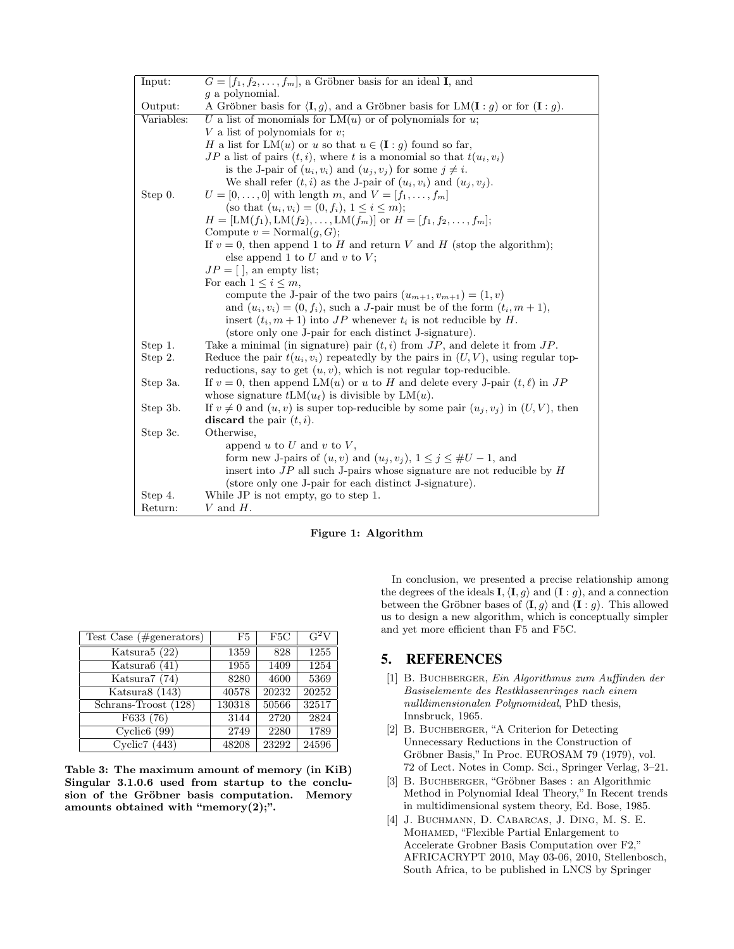| Input:     | $G = [f_1, f_2, \ldots, f_m]$ , a Gröbner basis for an ideal <b>I</b> , and                                                   |
|------------|-------------------------------------------------------------------------------------------------------------------------------|
|            | q a polynomial.                                                                                                               |
| Output:    | A Gröbner basis for $\langle \mathbf{I}, g \rangle$ , and a Gröbner basis for LM $(\mathbf{I}: g)$ or for $(\mathbf{I}: g)$ . |
| Variables: | U a list of monomials for $LM(u)$ or of polynomials for u;                                                                    |
|            | V a list of polynomials for $v$ ;                                                                                             |
|            | H a list for LM $(u)$ or u so that $u \in (\mathbf{I}:q)$ found so far,                                                       |
|            | JP a list of pairs $(t, i)$ , where t is a monomial so that $t(u_i, v_i)$                                                     |
|            | is the J-pair of $(u_i, v_i)$ and $(u_j, v_j)$ for some $j \neq i$ .                                                          |
|            | We shall refer $(t, i)$ as the J-pair of $(u_i, v_i)$ and $(u_j, v_j)$ .                                                      |
| Step 0.    | $U = [0, , 0]$ with length m, and $V = [f_1, , f_m]$                                                                          |
|            | (so that $(u_i, v_i) = (0, f_i), 1 \leq i \leq m$ );                                                                          |
|            | $H = [LM(f_1), LM(f_2), , LM(f_m)]$ or $H = [f_1, f_2, , f_m];$                                                               |
|            | Compute $v = \text{Normal}(g, G);$                                                                                            |
|            | If $v = 0$ , then append 1 to H and return V and H (stop the algorithm);                                                      |
|            | else append 1 to $U$ and $v$ to $V$ ;                                                                                         |
|            | $JP = [ \, ]$ , an empty list;                                                                                                |
|            | For each $1 \leq i \leq m$ ,                                                                                                  |
|            | compute the J-pair of the two pairs $(u_{m+1}, v_{m+1}) = (1, v)$                                                             |
|            | and $(u_i, v_i) = (0, f_i)$ , such a <i>J</i> -pair must be of the form $(t_i, m + 1)$ ,                                      |
|            | insert $(t_i, m+1)$ into JP whenever $t_i$ is not reducible by H.                                                             |
|            | (store only one J-pair for each distinct J-signature).                                                                        |
| Step 1.    | Take a minimal (in signature) pair $(t, i)$ from $JP$ , and delete it from $JP$ .                                             |
| Step 2.    | Reduce the pair $t(u_i, v_i)$ repeatedly by the pairs in $(U, V)$ , using regular top-                                        |
|            | reductions, say to get $(u, v)$ , which is not regular top-reducible.                                                         |
| Step 3a.   | If $v = 0$ , then append LM(u) or u to H and delete every J-pair $(t, \ell)$ in JP                                            |
|            | whose signature $tLM(u_\ell)$ is divisible by $LM(u)$ .                                                                       |
| Step 3b.   | If $v \neq 0$ and $(u, v)$ is super top-reducible by some pair $(u_j, v_j)$ in $(U, V)$ , then                                |
|            | discard the pair $(t, i)$ .                                                                                                   |
| Step 3c.   | Otherwise,                                                                                                                    |
|            | append $u$ to $U$ and $v$ to $V$ ,                                                                                            |
|            | form new J-pairs of $(u, v)$ and $(u_j, v_j)$ , $1 \leq j \leq #U - 1$ , and                                                  |
|            | insert into $JP$ all such J-pairs whose signature are not reducible by $H$                                                    |
|            | (store only one J-pair for each distinct J-signature).                                                                        |
| Step 4.    | While JP is not empty, go to step 1.                                                                                          |
| Return:    | V and $H$ .                                                                                                                   |



| Test Case $(\# \text{generators})$ | F5     | F <sub>5</sub> C | $G^2V$ |
|------------------------------------|--------|------------------|--------|
| Katsura $5(22)$                    | 1359   | 828              | 1255   |
| Katsura $6(41)$                    | 1955   | 1409             | 1254   |
| Katsura $7(74)$                    | 8280   | 4600             | 5369   |
| Katsura8 (143)                     | 40578  | 20232            | 20252  |
| Schrans-Troost (128)               | 130318 | 50566            | 32517  |
| F633(76)                           | 3144   | 2720             | 2824   |
| Cyclic6(99)                        | 2749   | 2280             | 1789   |
| Cyclic $7(443)$                    | 48208  | 23292            | 24596  |

Table 3: The maximum amount of memory (in KiB) Singular 3.1.0.6 used from startup to the conclusion of the Gröbner basis computation. Memory amounts obtained with "memory $(2)$ ;".

In conclusion, we presented a precise relationship among the degrees of the ideals **I**,  $\langle$ **I**,  $g$  $\rangle$  and (**I** : *g*), and a connection between the Gröbner bases of  $\langle \mathbf{I}, g \rangle$  and  $(\mathbf{I} : g)$ . This allowed us to design a new algorithm, which is conceptually simpler and yet more efficient than F5 and F5C.

## 5. REFERENCES

- [1] B. BUCHBERGER, Ein Algorithmus zum Auffinden der Basiselemente des Restklassenringes nach einem nulldimensionalen Polynomideal, PhD thesis, Innsbruck, 1965.
- [2] B. BUCHBERGER, "A Criterion for Detecting Unnecessary Reductions in the Construction of Gröbner Basis," In Proc. EUROSAM 79 (1979), vol. 72 of Lect. Notes in Comp. Sci., Springer Verlag, 3–21.
- [3] B. BUCHBERGER, "Gröbner Bases: an Algorithmic Method in Polynomial Ideal Theory," In Recent trends in multidimensional system theory, Ed. Bose, 1985.
- [4] J. Buchmann, D. Cabarcas, J. Ding, M. S. E. Mohamed, "Flexible Partial Enlargement to Accelerate Grobner Basis Computation over F2," AFRICACRYPT 2010, May 03-06, 2010, Stellenbosch, South Africa, to be published in LNCS by Springer